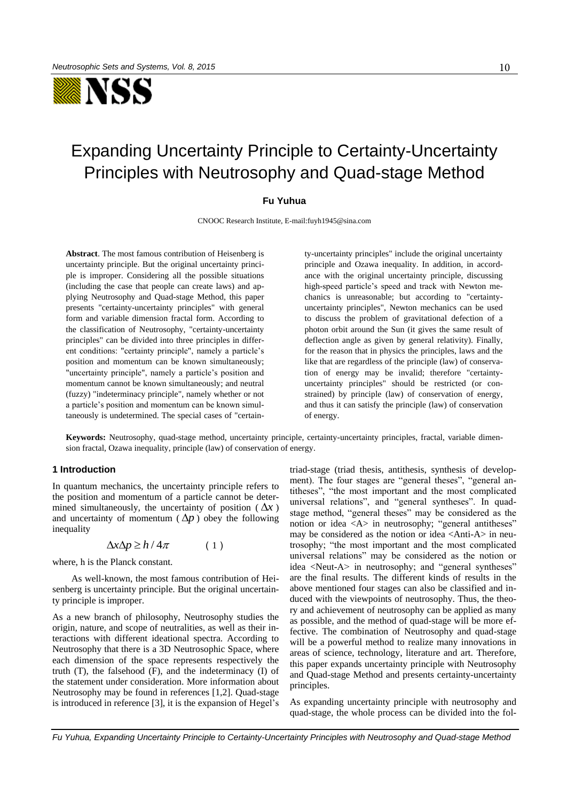

# Expanding Uncertainty Principle to Certainty-Uncertainty Principles with Neutrosophy and Quad-stage Method

## **Fu Yuhua**

CNOOC Research Institute, E-mail:fuyh1945@sina.com

**Abstract**. The most famous contribution of Heisenberg is uncertainty principle. But the original uncertainty principle is improper. Considering all the possible situations (including the case that people can create laws) and applying Neutrosophy and Quad-stage Method, this paper presents "certainty-uncertainty principles" with general form and variable dimension fractal form. According to the classification of Neutrosophy, "certainty-uncertainty principles" can be divided into three principles in different conditions: "certainty principle", namely a particle's position and momentum can be known simultaneously; "uncertainty principle", namely a particle's position and momentum cannot be known simultaneously; and neutral (fuzzy) "indeterminacy principle", namely whether or not a particle's position and momentum can be known simultaneously is undetermined. The special cases of "certainty-uncertainty principles" include the original uncertainty principle and Ozawa inequality. In addition, in accordance with the original uncertainty principle, discussing high-speed particle's speed and track with Newton mechanics is unreasonable; but according to "certaintyuncertainty principles", Newton mechanics can be used to discuss the problem of gravitational defection of a photon orbit around the Sun (it gives the same result of deflection angle as given by general relativity). Finally, for the reason that in physics the principles, laws and the like that are regardless of the principle (law) of conservation of energy may be invalid; therefore "certaintyuncertainty principles" should be restricted (or constrained) by principle (law) of conservation of energy, and thus it can satisfy the principle (law) of conservation of energy.

**Keywords:** Neutrosophy, quad-stage method, uncertainty principle, certainty-uncertainty principles, fractal, variable dimension fractal, Ozawa inequality, principle (law) of conservation of energy.

#### **1 Introduction**

In quantum mechanics, the uncertainty principle refers to the position and momentum of a particle cannot be determined simultaneously, the uncertainty of position ( $\Delta x$ ) and uncertainty of momentum  $(\Delta p)$  obey the following inequality

$$
\Delta x \Delta p \ge h / 4\pi \tag{1}
$$

where, h is the Planck constant.

 As well-known, the most famous contribution of Heisenberg is uncertainty principle. But the original uncertainty principle is improper.

As a new branch of philosophy, Neutrosophy studies the origin, nature, and scope of neutralities, as well as their interactions with different ideational spectra. According to Neutrosophy that there is a 3D Neutrosophic Space, where each dimension of the space represents respectively the truth (T), the falsehood (F), and the indeterminacy (I) of the statement under consideration. More information about Neutrosophy may be found in references [1,2]. Quad-stage is introduced in reference [3], it is the expansion of Hegel's triad-stage (triad thesis, antithesis, synthesis of development). The four stages are "general theses", "general antitheses", "the most important and the most complicated universal relations", and "general syntheses". In quadstage method, "general theses" may be considered as the notion or idea <A> in neutrosophy; "general antitheses" may be considered as the notion or idea <Anti-A> in neutrosophy; "the most important and the most complicated universal relations" may be considered as the notion or idea <Neut-A> in neutrosophy; and "general syntheses" are the final results. The different kinds of results in the above mentioned four stages can also be classified and induced with the viewpoints of neutrosophy. Thus, the theory and achievement of neutrosophy can be applied as many as possible, and the method of quad-stage will be more effective. The combination of Neutrosophy and quad-stage will be a powerful method to realize many innovations in areas of science, technology, literature and art. Therefore, this paper expands uncertainty principle with Neutrosophy and Quad-stage Method and presents certainty-uncertainty principles.

As expanding uncertainty principle with neutrosophy and quad-stage, the whole process can be divided into the fol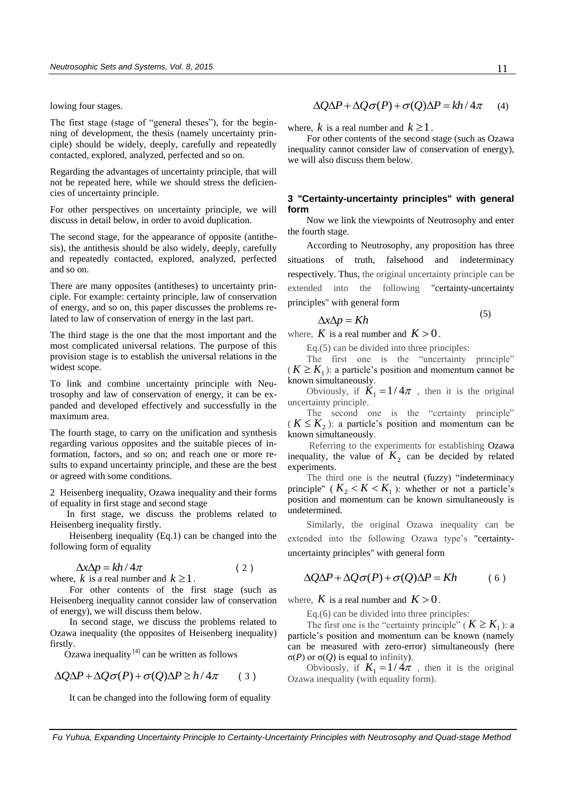lowing four stages.

The first stage (stage of "general theses"), for the beginning of development, the thesis (namely uncertainty principle) should be widely, deeply, carefully and repeatedly contacted, explored, analyzed, perfected and so on.

Regarding the advantages of uncertainty principle, that will not be repeated here, while we should stress the deficiencies of uncertainty principle.

For other perspectives on uncertainty principle, we will discuss in detail below, in order to avoid duplication.

The second stage, for the appearance of opposite (antithesis), the antithesis should be also widely, deeply, carefully and repeatedly contacted, explored, analyzed, perfected and so on.

There are many opposites (antitheses) to uncertainty principle. For example: certainty principle, law of conservation of energy, and so on, this paper discusses the problems related to law of conservation of energy in the last part.

The third stage is the one that the most important and the most complicated universal relations. The purpose of this provision stage is to establish the universal relations in the widest scope.

To link and combine uncertainty principle with Neutrosophy and law of conservation of energy, it can be expanded and developed effectively and successfully in the maximum area.

The fourth stage, to carry on the unification and synthesis regarding various opposites and the suitable pieces of information, factors, and so on; and reach one or more results to expand uncertainty principle, and these are the best or agreed with some conditions.

2 Heisenberg inequality, Ozawa inequality and their forms of equality in first stage and second stage

 In first stage, we discuss the problems related to Heisenberg inequality firstly.

Heisenberg inequality (Eq.1) can be changed into the following form of equality

$$
\Delta x \Delta p = kh / 4\pi
$$
 (2)  
where, k is a real number and  $k \ge 1$ .

For other contents of the first stage (such as Heisenberg inequality cannot consider law of conservation of energy), we will discuss them below.

In second stage, we discuss the problems related to Ozawa inequality (the opposites of Heisenberg inequality) firstly.

Ozawa inequality  $^{[4]}$  can be written as follows

$$
\Delta Q \Delta P + \Delta Q \sigma(P) + \sigma(Q) \Delta P \ge h/4\pi \qquad (3)
$$

It can be changed into the following form of equality

$$
\Delta Q \Delta P + \Delta Q \sigma(P) + \sigma(Q) \Delta P = kh / 4\pi \quad (4)
$$

where, k is a real number and  $k \ge 1$ .

For other contents of the second stage (such as Ozawa inequality cannot consider law of conservation of energy), we will also discuss them below.

# **3 "Certainty-uncertainty principles" with general form**

Now we link the viewpoints of Neutrosophy and enter the fourth stage.

According to Neutrosophy, any proposition has three situations of truth, falsehood and indeterminacy respectively. Thus, the original uncertainty principle can be extended into the following "certainty-uncertainty principles" with general form

$$
\Delta x \Delta p = Kh
$$

where,  $K$  is a real number and  $K > 0$ .

Eq.(5) can be divided into three principles:

The first one is the "uncertainty principle"  $(K \geq K_1)$ : a particle's position and momentum cannot be known simultaneously.

Obviously, if  $\dot{K}_1 = 1/4\pi$ , then it is the original uncertainty principle.

The second one is the "certainty principle"  $(K \leq K_2)$ : a particle's position and momentum can be known simultaneously.

 Referring to the experiments for establishing Ozawa inequality, the value of  $K_2$  can be decided by related experiments.

The third one is the neutral (fuzzy) "indeterminacy principle" ( $K_2 < K < K_1$ ): whether or not a particle's position and momentum can be known simultaneously is undetermined.

Similarly, the original Ozawa inequality can be extended into the following Ozawa type's "certaintyuncertainty principles" with general form

$$
\Delta Q \Delta P + \Delta Q \sigma(P) + \sigma(Q) \Delta P = Kh \qquad (6)
$$

where,  $K$  is a real number and  $K > 0$ .

Eq.(6) can be divided into three principles:

The first one is the "certainty principle" ( $K \geq K_1$ ): a particle's position and momentum can be known (namely can be measured with zero-error) simultaneously (here σ(*P*) or σ(*Q*) is equal to infinity).

Obviously, if  $K_1 = 1/4\pi$ , then it is the original Ozawa inequality (with equality form).

(5)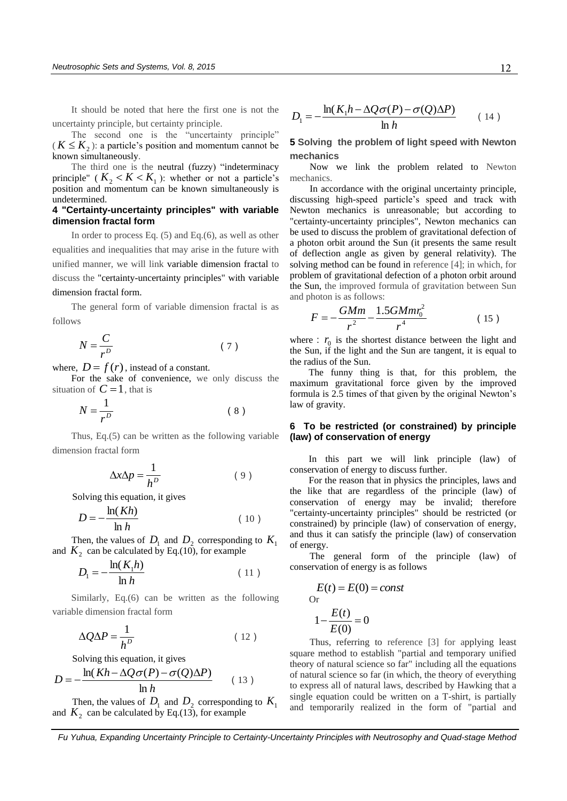It should be noted that here the first one is not the uncertainty principle, but certainty principle.

The second one is the "uncertainty principle"  $(K \leq K_2)$ : a particle's position and momentum cannot be known simultaneously.

The third one is the neutral (fuzzy) "indeterminacy principle" ( $K_2 < K < K_1$ ): whether or not a particle's position and momentum can be known simultaneously is undetermined.

## **4 "Certainty-uncertainty principles" with variable dimension fractal form**

In order to process Eq. (5) and Eq.(6), as well as other equalities and inequalities that may arise in the future with unified manner, we will link variable dimension fractal to discuss the "certainty-uncertainty principles" with variable dimension fractal form.

The general form of variable dimension fractal is as follows

$$
N = \frac{C}{r^D} \tag{7}
$$

where,  $D = f(r)$ , instead of a constant.

For the sake of convenience, we only discuss the situation of  $C = 1$ , that is

$$
N = \frac{1}{r^D} \tag{8}
$$

Thus, Eq.(5) can be written as the following variable dimension fractal form

$$
\Delta x \Delta p = \frac{1}{h^D} \tag{9}
$$

Solving this equation, it gives

$$
D = -\frac{\ln(Kh)}{\ln h} \tag{10}
$$

Then, the values of  $D_1$  and  $D_2$  corresponding to  $K_1$ and  $K_2$  can be calculated by Eq.(10), for example

$$
D_1 = -\frac{\ln(K_1 h)}{\ln h} \tag{11}
$$

Similarly, Eq.(6) can be written as the following variable dimension fractal form

$$
\Delta Q \Delta P = \frac{1}{h^D} \tag{12}
$$

Solving this equation, it gives

$$
D = -\frac{\ln(Kh - \Delta Q\sigma(P) - \sigma(Q)\Delta P)}{\ln h}
$$
 (13)

Then, the values of  $D_1$  and  $D_2$  corresponding to  $K_1$ and  $K_2$  can be calculated by Eq.(13), for example

$$
D_1 = -\frac{\ln(K_1 h - \Delta Q \sigma(P) - \sigma(Q)\Delta P)}{\ln h}
$$
 (14)

**5 Solving the problem of light speed with Newton mechanics**

Now we link the problem related to Newton mechanics.

In accordance with the original uncertainty principle, discussing high-speed particle's speed and track with Newton mechanics is unreasonable; but according to "certainty-uncertainty principles", Newton mechanics can be used to discuss the problem of gravitational defection of a photon orbit around the Sun (it presents the same result of deflection angle as given by general relativity). The solving method can be found in reference [4]; in which, for problem of gravitational defection of a photon orbit around the Sun, the improved formula of gravitation between Sun and photon is as follows:

$$
F = -\frac{GMm}{r^2} - \frac{1.5GMmr_0^2}{r^4} \tag{15}
$$

where  $: r_0$  is the shortest distance between the light and the Sun, if the light and the Sun are tangent, it is equal to the radius of the Sun.

The funny thing is that, for this problem, the maximum gravitational force given by the improved formula is 2.5 times of that given by the original Newton's law of gravity.

## **6 To be restricted (or constrained) by principle (law) of conservation of energy**

In this part we will link principle (law) of conservation of energy to discuss further.

For the reason that in physics the principles, laws and the like that are regardless of the principle (law) of conservation of energy may be invalid; therefore "certainty-uncertainty principles" should be restricted (or constrained) by principle (law) of conservation of energy, and thus it can satisfy the principle (law) of conservation of energy.

The general form of the principle (law) of conservation of energy is as follows

$$
E(t) = E(0) = const
$$
  
or  

$$
1 - \frac{E(t)}{E(0)} = 0
$$

Thus, referring to reference [3] for applying least square method to establish "partial and temporary unified theory of natural science so far" including all the equations of natural science so far (in which, the theory of everything to express all of natural laws, described by Hawking that a single equation could be written on a T-shirt, is partially and temporarily realized in the form of "partial and

 *Fu Yuhua, Expanding Uncertainty Principle to Certainty-Uncertainty Principles with Neutrosophy and Quad-stage Method*